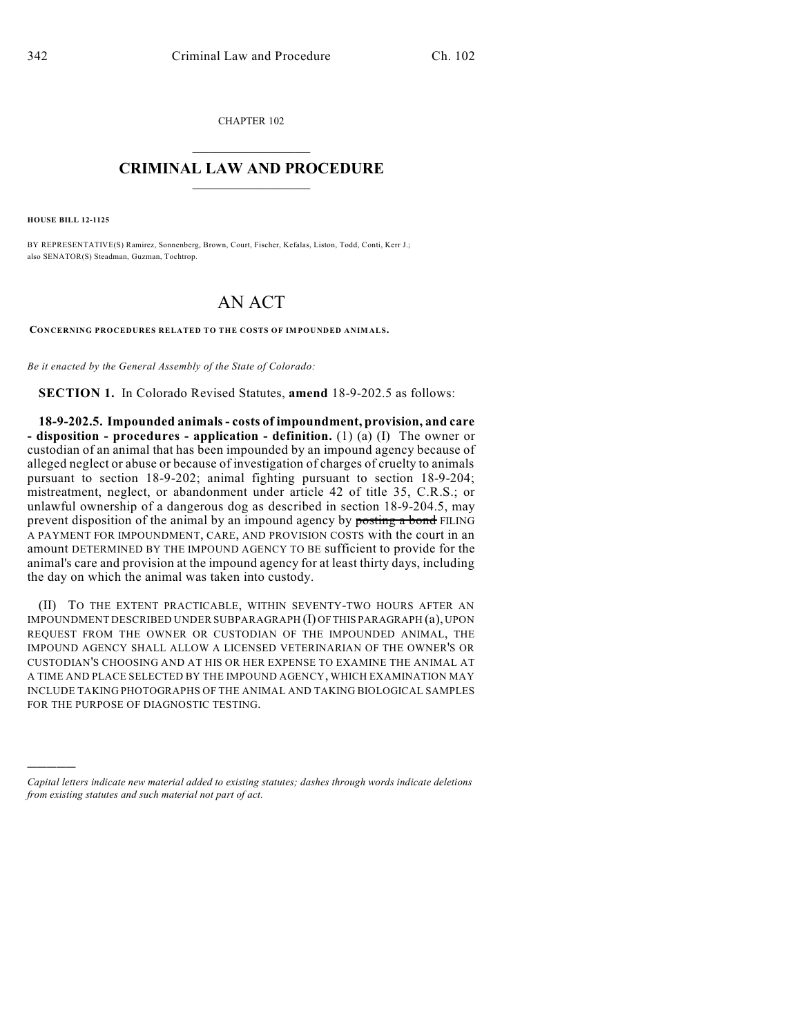CHAPTER 102

## $\mathcal{L}_\text{max}$  . The set of the set of the set of the set of the set of the set of the set of the set of the set of the set of the set of the set of the set of the set of the set of the set of the set of the set of the set **CRIMINAL LAW AND PROCEDURE**  $\frac{1}{2}$  ,  $\frac{1}{2}$  ,  $\frac{1}{2}$  ,  $\frac{1}{2}$  ,  $\frac{1}{2}$  ,  $\frac{1}{2}$  ,  $\frac{1}{2}$

**HOUSE BILL 12-1125**

)))))

BY REPRESENTATIVE(S) Ramirez, Sonnenberg, Brown, Court, Fischer, Kefalas, Liston, Todd, Conti, Kerr J.; also SENATOR(S) Steadman, Guzman, Tochtrop.

## AN ACT

**CONCERNING PROCEDURES RELATED TO THE COSTS OF IMPOUNDED ANIMALS.**

*Be it enacted by the General Assembly of the State of Colorado:*

**SECTION 1.** In Colorado Revised Statutes, **amend** 18-9-202.5 as follows:

**18-9-202.5. Impounded animals- costs of impoundment, provision, and care - disposition - procedures - application - definition.** (1) (a) (I) The owner or custodian of an animal that has been impounded by an impound agency because of alleged neglect or abuse or because of investigation of charges of cruelty to animals pursuant to section 18-9-202; animal fighting pursuant to section 18-9-204; mistreatment, neglect, or abandonment under article 42 of title 35, C.R.S.; or unlawful ownership of a dangerous dog as described in section 18-9-204.5, may prevent disposition of the animal by an impound agency by posting a bond FILING A PAYMENT FOR IMPOUNDMENT, CARE, AND PROVISION COSTS with the court in an amount DETERMINED BY THE IMPOUND AGENCY TO BE sufficient to provide for the animal's care and provision at the impound agency for at least thirty days, including the day on which the animal was taken into custody.

(II) TO THE EXTENT PRACTICABLE, WITHIN SEVENTY-TWO HOURS AFTER AN IMPOUNDMENT DESCRIBED UNDER SUBPARAGRAPH (I) OFTHIS PARAGRAPH (a), UPON REQUEST FROM THE OWNER OR CUSTODIAN OF THE IMPOUNDED ANIMAL, THE IMPOUND AGENCY SHALL ALLOW A LICENSED VETERINARIAN OF THE OWNER'S OR CUSTODIAN'S CHOOSING AND AT HIS OR HER EXPENSE TO EXAMINE THE ANIMAL AT A TIME AND PLACE SELECTED BY THE IMPOUND AGENCY, WHICH EXAMINATION MAY INCLUDE TAKING PHOTOGRAPHS OF THE ANIMAL AND TAKING BIOLOGICAL SAMPLES FOR THE PURPOSE OF DIAGNOSTIC TESTING.

*Capital letters indicate new material added to existing statutes; dashes through words indicate deletions from existing statutes and such material not part of act.*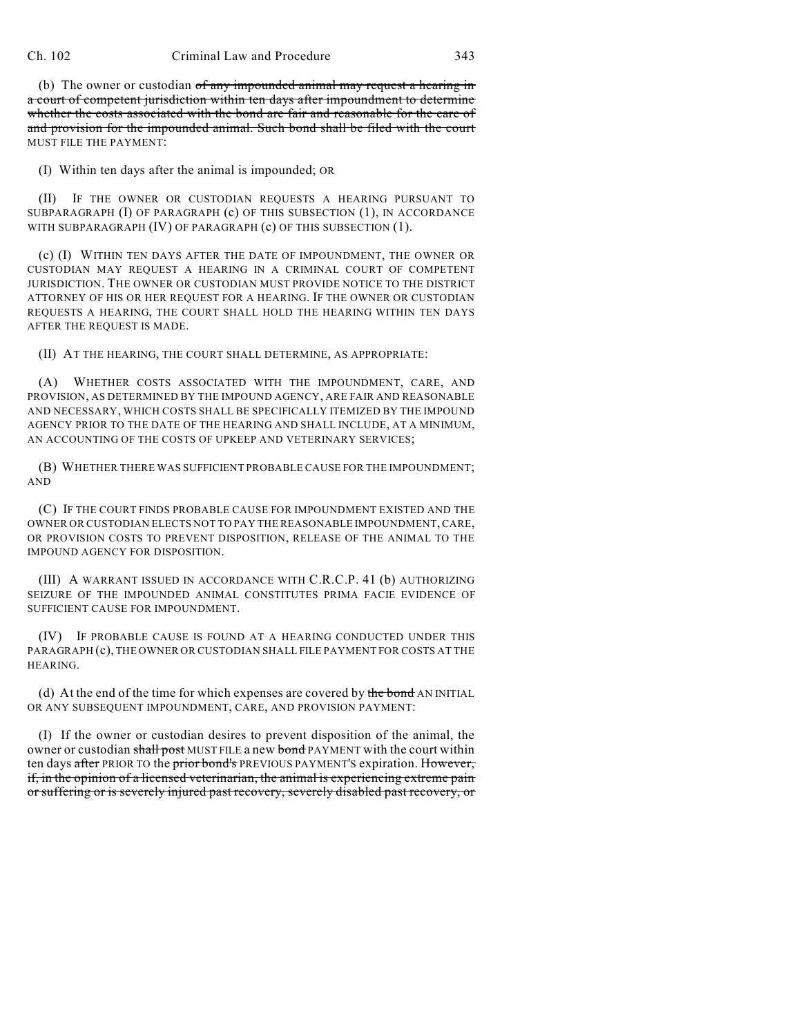(b) The owner or custodian of any impounded animal may request a hearing in a court of competent jurisdiction within ten days after impoundment to determine whether the costs associated with the bond are fair and reasonable for the care of and provision for the impounded animal. Such bond shall be filed with the court MUST FILE THE PAYMENT:

(I) Within ten days after the animal is impounded; OR

(II) IF THE OWNER OR CUSTODIAN REQUESTS A HEARING PURSUANT TO SUBPARAGRAPH (I) OF PARAGRAPH (c) OF THIS SUBSECTION (1), IN ACCORDANCE WITH SUBPARAGRAPH (IV) OF PARAGRAPH (c) OF THIS SUBSECTION (1).

(c) (I) WITHIN TEN DAYS AFTER THE DATE OF IMPOUNDMENT, THE OWNER OR CUSTODIAN MAY REQUEST A HEARING IN A CRIMINAL COURT OF COMPETENT JURISDICTION. THE OWNER OR CUSTODIAN MUST PROVIDE NOTICE TO THE DISTRICT ATTORNEY OF HIS OR HER REQUEST FOR A HEARING. IF THE OWNER OR CUSTODIAN REQUESTS A HEARING, THE COURT SHALL HOLD THE HEARING WITHIN TEN DAYS AFTER THE REQUEST IS MADE.

(II) AT THE HEARING, THE COURT SHALL DETERMINE, AS APPROPRIATE:

(A) WHETHER COSTS ASSOCIATED WITH THE IMPOUNDMENT, CARE, AND PROVISION, AS DETERMINED BY THE IMPOUND AGENCY, ARE FAIR AND REASONABLE AND NECESSARY, WHICH COSTS SHALL BE SPECIFICALLY ITEMIZED BY THE IMPOUND AGENCY PRIOR TO THE DATE OF THE HEARING AND SHALL INCLUDE, AT A MINIMUM, AN ACCOUNTING OF THE COSTS OF UPKEEP AND VETERINARY SERVICES;

(B) WHETHER THERE WAS SUFFICIENT PROBABLE CAUSE FOR THE IMPOUNDMENT; AND

(C) IF THE COURT FINDS PROBABLE CAUSE FOR IMPOUNDMENT EXISTED AND THE OWNER OR CUSTODIAN ELECTS NOT TO PAY THE REASONABLE IMPOUNDMENT, CARE, OR PROVISION COSTS TO PREVENT DISPOSITION, RELEASE OF THE ANIMAL TO THE IMPOUND AGENCY FOR DISPOSITION.

(III) A WARRANT ISSUED IN ACCORDANCE WITH C.R.C.P. 41 (b) AUTHORIZING SEIZURE OF THE IMPOUNDED ANIMAL CONSTITUTES PRIMA FACIE EVIDENCE OF SUFFICIENT CAUSE FOR IMPOUNDMENT.

(IV) IF PROBABLE CAUSE IS FOUND AT A HEARING CONDUCTED UNDER THIS PARAGRAPH (c), THE OWNER OR CUSTODIAN SHALL FILE PAYMENT FOR COSTS AT THE HEARING.

(d) At the end of the time for which expenses are covered by the bond AN INITIAL OR ANY SUBSEQUENT IMPOUNDMENT, CARE, AND PROVISION PAYMENT:

(I) If the owner or custodian desires to prevent disposition of the animal, the owner or custodian shall post MUST FILE a new bond PAYMENT with the court within ten days after PRIOR TO the prior bond's PREVIOUS PAYMENT'S expiration. However, if, in the opinion of a licensed veterinarian, the animal is experiencing extreme pain or suffering or is severely injured past recovery, severely disabled past recovery, or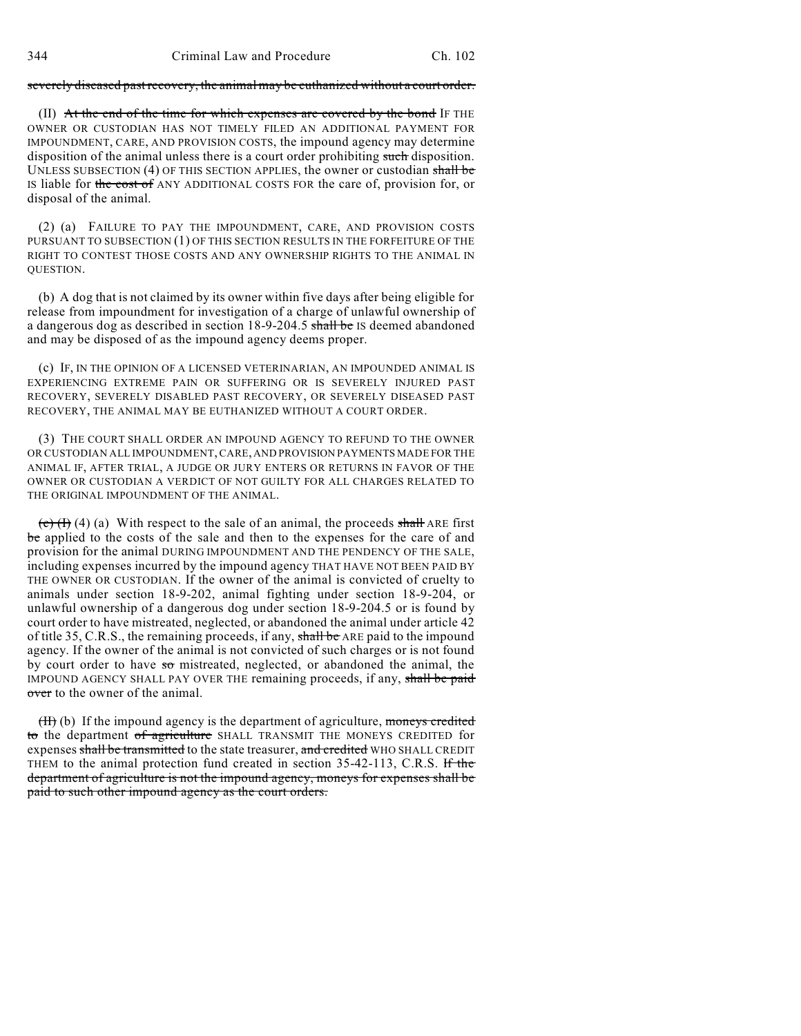## severely diseased past recovery, the animal may be euthanized without a court order.

 $(II)$  At the end of the time for which expenses are covered by the bond IF THE OWNER OR CUSTODIAN HAS NOT TIMELY FILED AN ADDITIONAL PAYMENT FOR IMPOUNDMENT, CARE, AND PROVISION COSTS, the impound agency may determine disposition of the animal unless there is a court order prohibiting such disposition. UNLESS SUBSECTION (4) OF THIS SECTION APPLIES, the owner or custodian shall be IS liable for the cost of ANY ADDITIONAL COSTS FOR the care of, provision for, or disposal of the animal.

(2) (a) FAILURE TO PAY THE IMPOUNDMENT, CARE, AND PROVISION COSTS PURSUANT TO SUBSECTION (1) OF THIS SECTION RESULTS IN THE FORFEITURE OF THE RIGHT TO CONTEST THOSE COSTS AND ANY OWNERSHIP RIGHTS TO THE ANIMAL IN QUESTION.

(b) A dog that is not claimed by its owner within five days after being eligible for release from impoundment for investigation of a charge of unlawful ownership of a dangerous dog as described in section 18-9-204.5 shall be IS deemed abandoned and may be disposed of as the impound agency deems proper.

(c) IF, IN THE OPINION OF A LICENSED VETERINARIAN, AN IMPOUNDED ANIMAL IS EXPERIENCING EXTREME PAIN OR SUFFERING OR IS SEVERELY INJURED PAST RECOVERY, SEVERELY DISABLED PAST RECOVERY, OR SEVERELY DISEASED PAST RECOVERY, THE ANIMAL MAY BE EUTHANIZED WITHOUT A COURT ORDER.

(3) THE COURT SHALL ORDER AN IMPOUND AGENCY TO REFUND TO THE OWNER OR CUSTODIAN ALL IMPOUNDMENT, CARE, AND PROVISION PAYMENTS MADE FOR THE ANIMAL IF, AFTER TRIAL, A JUDGE OR JURY ENTERS OR RETURNS IN FAVOR OF THE OWNER OR CUSTODIAN A VERDICT OF NOT GUILTY FOR ALL CHARGES RELATED TO THE ORIGINAL IMPOUNDMENT OF THE ANIMAL.

 $\left(\frac{\mathbf{c}}{\mathbf{c}}\right)$  (4) (a) With respect to the sale of an animal, the proceeds shall ARE first be applied to the costs of the sale and then to the expenses for the care of and provision for the animal DURING IMPOUNDMENT AND THE PENDENCY OF THE SALE, including expenses incurred by the impound agency THAT HAVE NOT BEEN PAID BY THE OWNER OR CUSTODIAN. If the owner of the animal is convicted of cruelty to animals under section 18-9-202, animal fighting under section 18-9-204, or unlawful ownership of a dangerous dog under section 18-9-204.5 or is found by court order to have mistreated, neglected, or abandoned the animal under article 42 of title 35, C.R.S., the remaining proceeds, if any, shall be ARE paid to the impound agency. If the owner of the animal is not convicted of such charges or is not found by court order to have  $5\sigma$  mistreated, neglected, or abandoned the animal, the IMPOUND AGENCY SHALL PAY OVER THE remaining proceeds, if any, shall be paid over to the owner of the animal.

 $(H)$  (b) If the impound agency is the department of agriculture, moneys credited to the department of agriculture SHALL TRANSMIT THE MONEYS CREDITED for expenses shall be transmitted to the state treasurer, and credited WHO SHALL CREDIT THEM to the animal protection fund created in section 35-42-113, C.R.S. If the department of agriculture is not the impound agency, moneys for expenses shall be paid to such other impound agency as the court orders.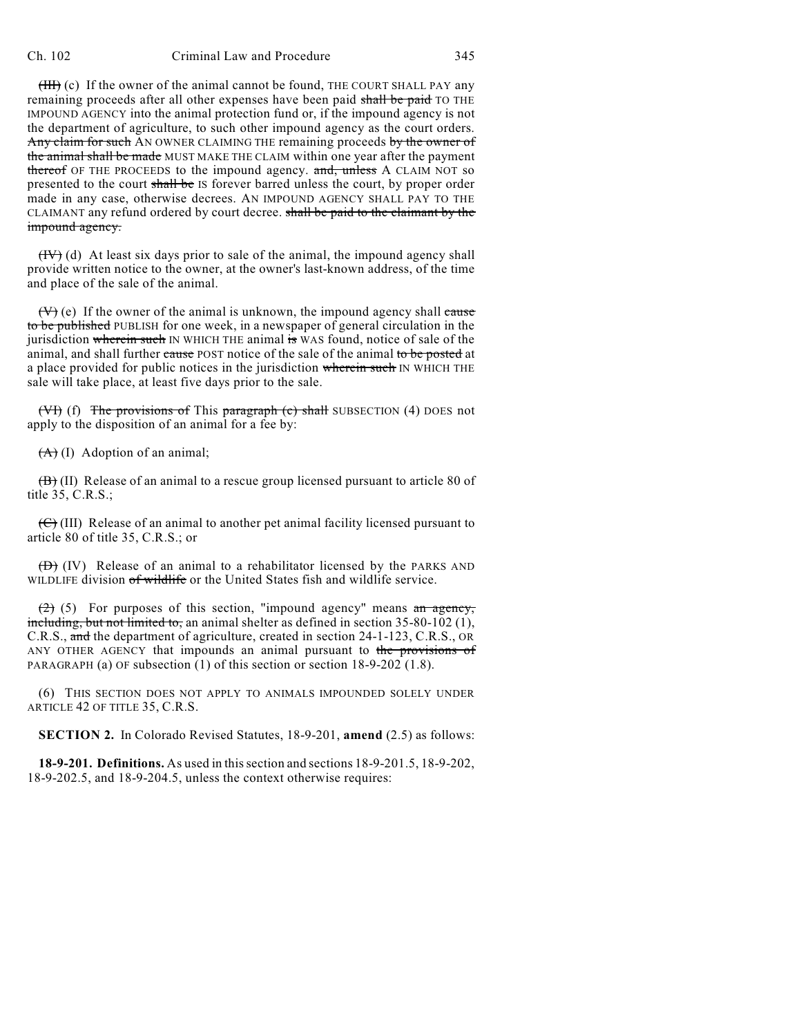(HII) (c) If the owner of the animal cannot be found, THE COURT SHALL PAY any remaining proceeds after all other expenses have been paid shall be paid TO THE IMPOUND AGENCY into the animal protection fund or, if the impound agency is not the department of agriculture, to such other impound agency as the court orders. Any claim for such AN OWNER CLAIMING THE remaining proceeds by the owner of the animal shall be made MUST MAKE THE CLAIM within one year after the payment thereof OF THE PROCEEDS to the impound agency. and, unless A CLAIM NOT so presented to the court shall be IS forever barred unless the court, by proper order made in any case, otherwise decrees. AN IMPOUND AGENCY SHALL PAY TO THE CLAIMANT any refund ordered by court decree. shall be paid to the claimant by the impound agency.

 $(HV)$  (d) At least six days prior to sale of the animal, the impound agency shall provide written notice to the owner, at the owner's last-known address, of the time and place of the sale of the animal.

 $(V)$  (e) If the owner of the animal is unknown, the impound agency shall cause to be published PUBLISH for one week, in a newspaper of general circulation in the jurisdiction wherein such IN WHICH THE animal is WAS found, notice of sale of the animal, and shall further cause POST notice of the sale of the animal to be posted at a place provided for public notices in the jurisdiction wherein such IN WHICH THE sale will take place, at least five days prior to the sale.

(VI) (f) The provisions of This paragraph  $(c)$  shall SUBSECTION (4) DOES not apply to the disposition of an animal for a fee by:

 $(A)$  (I) Adoption of an animal;

 $(\overline{B})$  (II) Release of an animal to a rescue group licensed pursuant to article 80 of title 35, C.R.S.;

 $(\overline{C})$  (III) Release of an animal to another pet animal facility licensed pursuant to article 80 of title 35, C.R.S.; or

 $(\overrightarrow{D})$  (IV) Release of an animal to a rehabilitator licensed by the PARKS AND WILDLIFE division of wildlife or the United States fish and wildlife service.

 $(2)$  (5) For purposes of this section, "impound agency" means an agency, including, but not limited to, an animal shelter as defined in section 35-80-102 (1), C.R.S., and the department of agriculture, created in section 24-1-123, C.R.S., OR ANY OTHER AGENCY that impounds an animal pursuant to the provisions of PARAGRAPH (a) OF subsection (1) of this section or section 18-9-202 (1.8).

(6) THIS SECTION DOES NOT APPLY TO ANIMALS IMPOUNDED SOLELY UNDER ARTICLE 42 OF TITLE 35, C.R.S.

**SECTION 2.** In Colorado Revised Statutes, 18-9-201, **amend** (2.5) as follows:

**18-9-201. Definitions.** As used in thissection and sections 18-9-201.5, 18-9-202, 18-9-202.5, and 18-9-204.5, unless the context otherwise requires: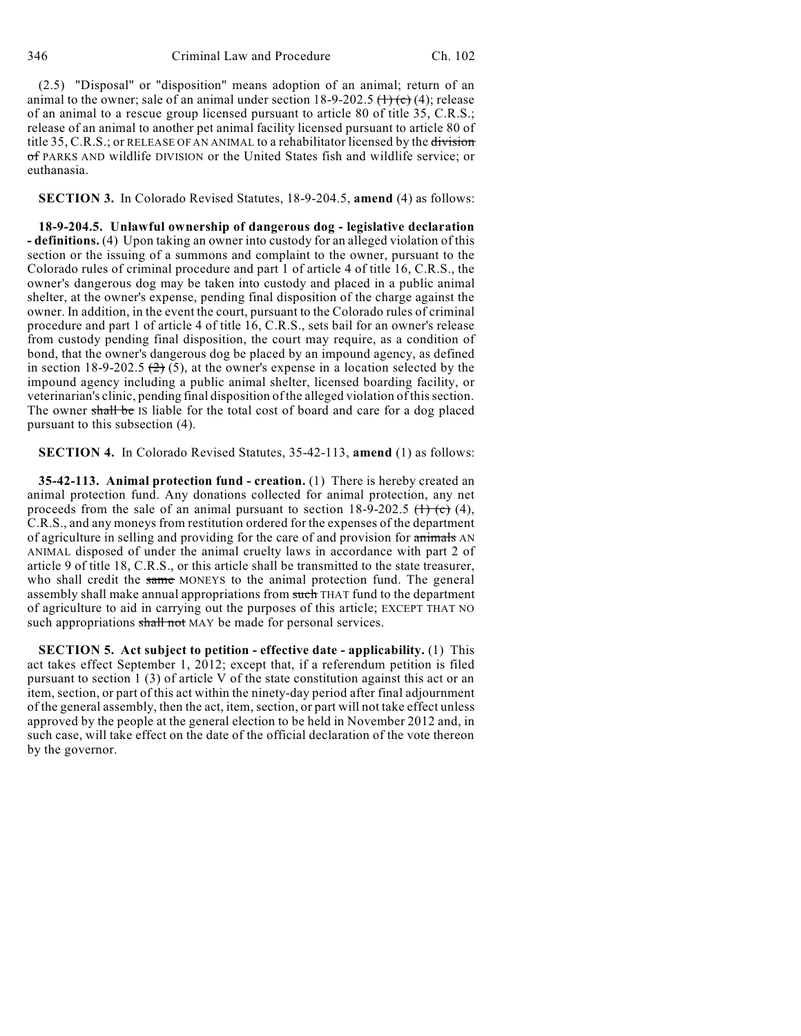(2.5) "Disposal" or "disposition" means adoption of an animal; return of an animal to the owner; sale of an animal under section 18-9-202.5  $(1)(c)$  (4); release of an animal to a rescue group licensed pursuant to article 80 of title 35, C.R.S.; release of an animal to another pet animal facility licensed pursuant to article 80 of title 35, C.R.S.; or RELEASE OF AN ANIMAL to a rehabilitator licensed by the division of PARKS AND wildlife DIVISION or the United States fish and wildlife service; or euthanasia.

**SECTION 3.** In Colorado Revised Statutes, 18-9-204.5, **amend** (4) as follows:

**18-9-204.5. Unlawful ownership of dangerous dog - legislative declaration - definitions.** (4) Upon taking an owner into custody for an alleged violation of this section or the issuing of a summons and complaint to the owner, pursuant to the Colorado rules of criminal procedure and part 1 of article 4 of title 16, C.R.S., the owner's dangerous dog may be taken into custody and placed in a public animal shelter, at the owner's expense, pending final disposition of the charge against the owner. In addition, in the event the court, pursuant to the Colorado rules of criminal procedure and part 1 of article 4 of title 16, C.R.S., sets bail for an owner's release from custody pending final disposition, the court may require, as a condition of bond, that the owner's dangerous dog be placed by an impound agency, as defined in section 18-9-202.5  $(2)$  (5), at the owner's expense in a location selected by the impound agency including a public animal shelter, licensed boarding facility, or veterinarian's clinic, pending final disposition of the alleged violation of thissection. The owner shall be IS liable for the total cost of board and care for a dog placed pursuant to this subsection (4).

**SECTION 4.** In Colorado Revised Statutes, 35-42-113, **amend** (1) as follows:

**35-42-113. Animal protection fund - creation.** (1) There is hereby created an animal protection fund. Any donations collected for animal protection, any net proceeds from the sale of an animal pursuant to section  $18-9-202.5$  ( $\rightarrow$  (4), C.R.S., and any moneys from restitution ordered for the expenses of the department of agriculture in selling and providing for the care of and provision for animals AN ANIMAL disposed of under the animal cruelty laws in accordance with part 2 of article 9 of title 18, C.R.S., or this article shall be transmitted to the state treasurer, who shall credit the same MONEYS to the animal protection fund. The general assembly shall make annual appropriations from such THAT fund to the department of agriculture to aid in carrying out the purposes of this article; EXCEPT THAT NO such appropriations shall not MAY be made for personal services.

**SECTION 5. Act subject to petition - effective date - applicability.** (1) This act takes effect September 1, 2012; except that, if a referendum petition is filed pursuant to section  $1(3)$  of article V of the state constitution against this act or an item, section, or part of this act within the ninety-day period after final adjournment of the general assembly, then the act, item, section, or part will not take effect unless approved by the people at the general election to be held in November 2012 and, in such case, will take effect on the date of the official declaration of the vote thereon by the governor.